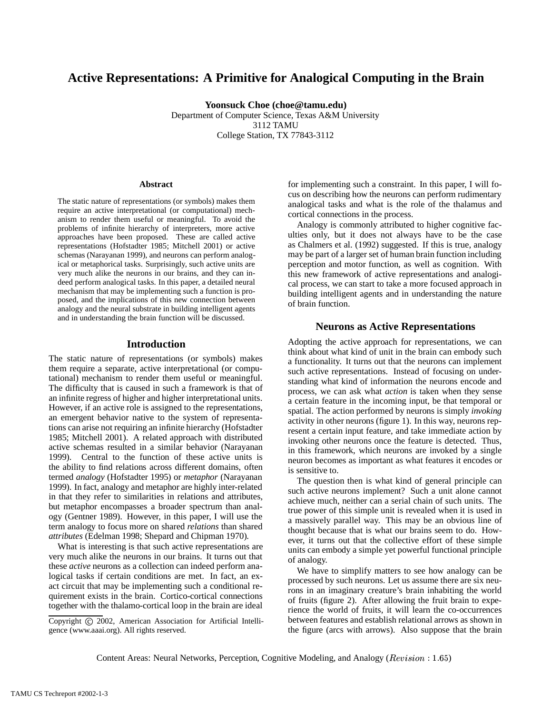# **Active Representations: A Primitive for Analogical Computing in the Brain**

**Yoonsuck Choe (choe@tamu.edu)**

Department of Computer Science, Texas A&M University 3112 TAMU College Station, TX 77843-3112

#### **Abstract**

The static nature of representations (or symbols) makes them require an active interpretational (or computational) mechanism to render them useful or meaningful. To avoid the problems of infinite hierarchy of interpreters, more active approaches have been proposed. These are called active representations (Hofstadter 1985; Mitchell 2001) or active schemas (Narayanan 1999), and neurons can perform analogical or metaphorical tasks. Surprisingly, such active units are very much alike the neurons in our brains, and they can indeed perform analogical tasks. In this paper, a detailed neural mechanism that may be implementing such a function is proposed, and the implications of this new connection between analogy and the neural substrate in building intelligent agents and in understanding the brain function will be discussed.

### **Introduction**

The static nature of representations (or symbols) makes them require a separate, active interpretational (or computational) mechanism to render them useful or meaningful. The difficulty that is caused in such a framework is that of an infinite regress of higher and higher interpretational units. However, if an active role is assigned to the representations, an emergent behavior native to the system of representations can arise not requiring an infinite hierarchy (Hofstadter 1985; Mitchell 2001). A related approach with distributed active schemas resulted in a similar behavior (Narayanan 1999). Central to the function of these active units is the ability to find relations across different domains, often termed *analogy* (Hofstadter 1995) or *metaphor* (Narayanan 1999). In fact, analogy and metaphor are highly inter-related in that they refer to similarities in relations and attributes, but metaphor encompasses a broader spectrum than analogy (Gentner 1989). However, in this paper, I will use the term analogy to focus more on shared *relations* than shared *attributes* (Edelman 1998; Shepard and Chipman 1970).

What is interesting is that such active representations are very much alike the neurons in our brains. It turns out that these *active* neurons as a collection can indeed perform analogical tasks if certain conditions are met. In fact, an exact circuit that may be implementing such a conditional requirement exists in the brain. Cortico-cortical connections together with the thalamo-cortical loop in the brain are ideal for implementing such a constraint. In this paper, I will focus on describing how the neurons can perform rudimentary analogical tasks and what is the role of the thalamus and cortical connections in the process.

Analogy is commonly attributed to higher cognitive faculties only, but it does not always have to be the case as Chalmers et al. (1992) suggested. If this is true, analogy may be part of a larger set of human brain function including perception and motor function, as well as cognition. With this new framework of active representations and analogical process, we can start to take a more focused approach in building intelligent agents and in understanding the nature of brain function.

## **Neurons as Active Representations**

Adopting the active approach for representations, we can think about what kind of unit in the brain can embody such a functionality. It turns out that the neurons can implement such active representations. Instead of focusing on understanding what kind of information the neurons encode and process, we can ask what *action* is taken when they sense a certain feature in the incoming input, be that temporal or spatial. The action performed by neurons is simply *invoking* activity in other neurons (figure 1). In this way, neurons represent a certain input feature, and take immediate action by invoking other neurons once the feature is detected. Thus, in this framework, which neurons are invoked by a single neuron becomes as important as what features it encodes or is sensitive to.

The question then is what kind of general principle can such active neurons implement? Such a unit alone cannot achieve much, neither can a serial chain of such units. The true power of this simple unit is revealed when it is used in a massively parallel way. This may be an obvious line of thought because that is what our brains seem to do. However, it turns out that the collective effort of these simple units can embody a simple yet powerful functional principle of analogy.

We have to simplify matters to see how analogy can be processed by such neurons. Let us assume there are six neurons in an imaginary creature's brain inhabiting the world of fruits (figure 2). After allowing the fruit brain to experience the world of fruits, it will learn the co-occurrences between features and establish relational arrows as shown in the figure (arcs with arrows). Also suppose that the brain

Copyright © 2002, American Association for Artificial Intelligence (www.aaai.org). All rights reserved.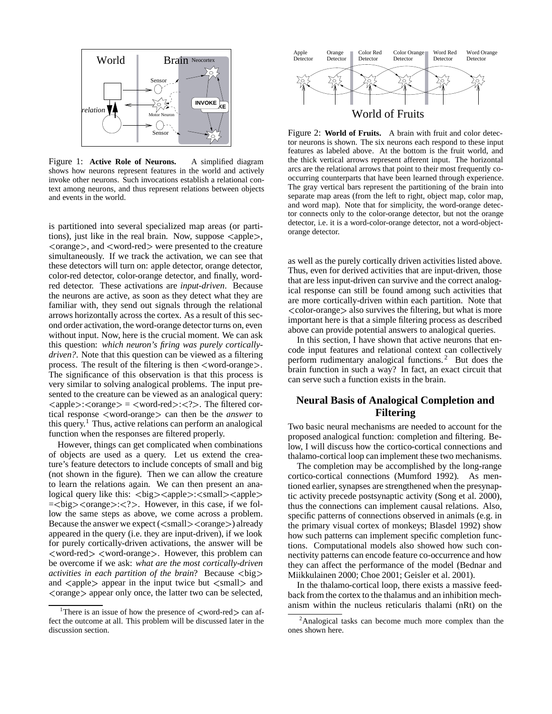

Figure 1: **Active Role of Neurons.** A simplified diagram shows how neurons represent features in the world and actively invoke other neurons. Such invocations establish a relational context among neurons, and thus represent relations between objects and events in the world.

is partitioned into several specialized map areas (or partitions), just like in the real brain. Now, suppose  $\langle \text{apple} \rangle$ ,  $\langle$ orange $\rangle$ , and  $\langle$ word-red $\rangle$  were presented to the creature simultaneously. If we track the activation, we can see that these detectors will turn on: apple detector, orange detector, color-red detector, color-orange detector, and finally, wordred detector. These activations are *input-driven*. Because the neurons are active, as soon as they detect what they are familiar with, they send out signals through the relational arrows horizontally across the cortex. As a result of this second order activation, the word-orange detector turns on, even without input. Now, here is the crucial moment. We can ask this question: *which neuron's firing was purely corticallydriven?*. Note that this question can be viewed as a filtering process. The result of the filtering is then  $\langle$  word-orange $\rangle$ . The significance of this observation is that this process is very similar to solving analogical problems. The input presented to the creature can be viewed as an analogical query:  $\langle \text{apple} \rangle$ : $\langle \text{orange} \rangle = \langle \text{word-red} \rangle$ : $\langle ? \rangle$ . The filtered cortical response  $\langle$  word-orange can then be the *answer* to this query. <sup>1</sup> Thus, active relations can perform an analogical function when the responses are filtered properly.

However, things can get complicated when combinations of objects are used as a query. Let us extend the creature's feature detectors to include concepts of small and big (not shown in the figure). Then we can allow the creature to learn the relations again. We can then present an analogical query like this:  $\langle big \rangle \langle apple \rangle$ :  $\langle small \rangle \langle apple \rangle$  $=<$ big> $<$ orange>: $<$ ?>. However, in this case, if we follow the same steps as above, we come across a problem. Because the answer we expect ( $\langle \text{small} \rangle$  $\langle$  orange $\rangle$ ) already appeared in the query (i.e. they are input-driven), if we look for purely cortically-driven activations, the answer will be  $\langle$  word-red $\rangle$   $\langle$  word-orange $\rangle$ . However, this problem can be overcome if we ask: *what are the most cortically-driven activities in each partition of the brain*? Because  $\langle \text{big} \rangle$ and  $\langle$ apple $\rangle$  appear in the input twice but  $\langle$ small $\rangle$  and  $\langle$ orange $\rangle$  appear only once, the latter two can be selected,



Figure 2: **World of Fruits.** A brain with fruit and color detector neurons is shown. The six neurons each respond to these input features as labeled above. At the bottom is the fruit world, and the thick vertical arrows represent afferent input. The horizontal arcs are the relational arrows that point to their most frequently cooccurring counterparts that have been learned through experience. The gray vertical bars represent the partitioning of the brain into separate map areas (from the left to right, object map, color map, and word map). Note that for simplicity, the word-orange detector connects only to the color-orange detector, but not the orange detector, i.e. it is a word-color-orange detector, not a word-objectorange detector.

as well as the purely cortically driven activities listed above. Thus, even for derived activities that are input-driven, those that are less input-driven can survive and the correct analogical response can still be found among such activities that are more cortically-driven within each partition. Note that <color-orange> also survives the filtering, but what is more important here is that a simple filtering process as described above can provide potential answers to analogical queries.

In this section, I have shown that active neurons that encode input features and relational context can collectively perform rudimentary analogical functions. <sup>2</sup> But does the brain function in such a way? In fact, an exact circuit that can serve such a function exists in the brain.

# **Neural Basis of Analogical Completion and Filtering**

Two basic neural mechanisms are needed to account for the proposed analogical function: completion and filtering. Below, I will discuss how the cortico-cortical connections and thalamo-cortical loop can implement these two mechanisms.

The completion may be accomplished by the long-range cortico-cortical connections (Mumford 1992). As mentioned earlier, synapses are strengthened when the presynaptic activity precede postsynaptic activity (Song et al. 2000), thus the connections can implement causal relations. Also, specific patterns of connections observed in animals (e.g. in the primary visual cortex of monkeys; Blasdel 1992) show how such patterns can implement specific completion functions. Computational models also showed how such connectivity patterns can encode feature co-occurrence and how they can affect the performance of the model (Bednar and Miikkulainen 2000; Choe 2001; Geisler et al. 2001).

In the thalamo-cortical loop, there exists a massive feedback from the cortex to the thalamus and an inhibition mechanism within the nucleus reticularis thalami (nRt) on the

<sup>&</sup>lt;sup>1</sup>There is an issue of how the presence of  $\lt$ word-red  $>$  can affect the outcome at all. This problem will be discussed later in the discussion section.

<sup>&</sup>lt;sup>2</sup>Analogical tasks can become much more complex than the ones shown here.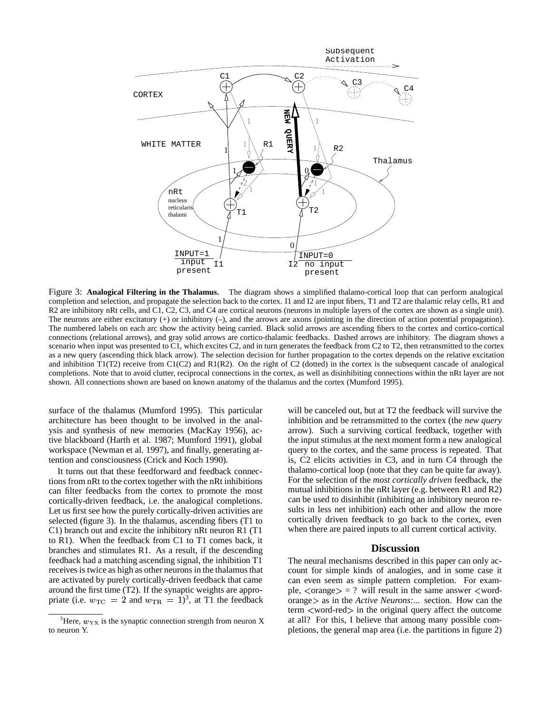

Figure 3: **Analogical Filtering in the Thalamus.** The diagram shows a simplified thalamo-cortical loop that can perform analogical completion and selection, and propagate the selection back to the cortex. I1 and I2 are input fibers, T1 and T2 are thalamic relay cells, R1 and R2 are inhibitory nRt cells, and C1, C2, C3, and C4 are cortical neurons (neurons in multiple layers of the cortex are shown as a single unit). The neurons are either excitatory  $(+)$  or inhibitory  $(-)$ , and the arrows are axons (pointing in the direction of action potential propagation). The numbered labels on each arc show the activity being carried. Black solid arrows are ascending fibers to the cortex and cortico-cortical connections (relational arrows), and gray solid arrows are cortico-thalamic feedbacks. Dashed arrows are inhibitory. The diagram shows a scenario when input was presented to C1, which excites C2, and in turn generates the feedback from C2 to T2, then retransmitted to the cortex as a new query (ascending thick black arrow). The selection decision for further propagation to the cortex depends on the relative excitation and inhibition  $T1(T2)$  receive from  $C1(C2)$  and  $R1(R2)$ . On the right of C2 (dotted) in the cortex is the subsequent cascade of analogical completions. Note that to avoid clutter, reciprocal connections in the cortex, as well as disinhibiting connections within the nRt layer are not shown. All connections shown are based on known anatomy of the thalamus and the cortex (Mumford 1995).

surface of the thalamus (Mumford 1995). This particular architecture has been thought to be involved in the analysis and synthesis of new memories (MacKay 1956), active blackboard (Harth et al. 1987; Mumford 1991), global workspace (Newman et al. 1997), and finally, generating attention and consciousness (Crick and Koch 1990).

It turns out that these feedforward and feedback connections from nRt to the cortex together with the nRt inhibitions can filter feedbacks from the cortex to promote the most cortically-driven feedback, i.e. the analogical completions. Let us first see how the purely cortically-driven activities are selected (figure 3). In the thalamus, ascending fibers (T1 to C1) branch out and excite the inhibitory nRt neuron R1 (T1 to R1). When the feedback from C1 to T1 comes back, it branches and stimulates R1. As a result, if the descending feedback had a matching ascending signal, the inhibition T1 receives is twice as high as other neurons in the thalamus that are activated by purely cortically-driven feedback that came around the first time (T2). If the synaptic weights are appropriate (i.e.  $w_{\text{TC}} = 2$  and  $w_{\text{TR}} = 1$ )<sup>3</sup>, at T1 the feedback

will be canceled out, but at T2 the feedback will survive the inhibition and be retransmitted to the cortex (the *new query* arrow). Such a surviving cortical feedback, together with the input stimulus at the next moment form a new analogical query to the cortex, and the same process is repeated. That is, C2 elicits activities in C3, and in turn C4 through the thalamo-cortical loop (note that they can be quite far away). For the selection of the *most cortically driven* feedback, the mutual inhibitions in the nRt layer (e.g. between R1 and R2) can be used to disinhibit (inhibiting an inhibitory neuron results in less net inhibition) each other and allow the more cortically driven feedback to go back to the cortex, even when there are paired inputs to all current cortical activity.

### **Discussion**

The neural mechanisms described in this paper can only account for simple kinds of analogies, and in some case it can even seem as simple pattern completion. For example,  $\langle \text{orange} \rangle = ?$  will result in the same answer  $\langle \text{word} \rangle$ orange as in the *Active Neurons*:... section. How can the  $term < word-red$  in the original query affect the outcome at all? For this, I believe that among many possible completions, the general map area (i.e. the partitions in figure 2)

<sup>&</sup>lt;sup>3</sup>Here,  $w_{\text{YX}}$  is the synaptic connection strength from neuron X to neuron Y.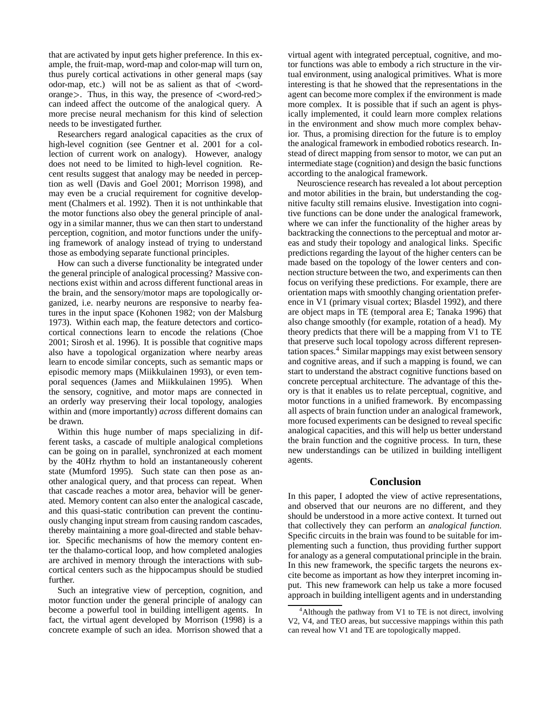that are activated by input gets higher preference. In this example, the fruit-map, word-map and color-map will turn on, thus purely cortical activations in other general maps (say odor-map, etc.) will not be as salient as that of  $\lt$ wordorange. Thus, in this way, the presence of  $\langle$  word-red $\rangle$ can indeed affect the outcome of the analogical query. A more precise neural mechanism for this kind of selection needs to be investigated further.

Researchers regard analogical capacities as the crux of high-level cognition (see Gentner et al. 2001 for a collection of current work on analogy). However, analogy does not need to be limited to high-level cognition. Recent results suggest that analogy may be needed in perception as well (Davis and Goel 2001; Morrison 1998), and may even be a crucial requirement for cognitive development (Chalmers et al. 1992). Then it is not unthinkable that the motor functions also obey the general principle of analogy in a similar manner, thus we can then start to understand perception, cognition, and motor functions under the unifying framework of analogy instead of trying to understand those as embodying separate functional principles.

How can such a diverse functionality be integrated under the general principle of analogical processing? Massive connections exist within and across different functional areas in the brain, and the sensory/motor maps are topologically organized, i.e. nearby neurons are responsive to nearby features in the input space (Kohonen 1982; von der Malsburg 1973). Within each map, the feature detectors and corticocortical connections learn to encode the relations (Choe 2001; Sirosh et al. 1996). It is possible that cognitive maps also have a topological organization where nearby areas learn to encode similar concepts, such as semantic maps or episodic memory maps (Miikkulainen 1993), or even temporal sequences (James and Miikkulainen 1995). When the sensory, cognitive, and motor maps are connected in an orderly way preserving their local topology, analogies within and (more importantly) *across* different domains can be drawn.

Within this huge number of maps specializing in different tasks, a cascade of multiple analogical completions can be going on in parallel, synchronized at each moment by the 40Hz rhythm to hold an instantaneously coherent state (Mumford 1995). Such state can then pose as another analogical query, and that process can repeat. When that cascade reaches a motor area, behavior will be generated. Memory content can also enter the analogical cascade, and this quasi-static contribution can prevent the continuously changing input stream from causing random cascades, thereby maintaining a more goal-directed and stable behavior. Specific mechanisms of how the memory content enter the thalamo-cortical loop, and how completed analogies are archived in memory through the interactions with subcortical centers such as the hippocampus should be studied further.

Such an integrative view of perception, cognition, and motor function under the general principle of analogy can become a powerful tool in building intelligent agents. In fact, the virtual agent developed by Morrison (1998) is a concrete example of such an idea. Morrison showed that a

virtual agent with integrated perceptual, cognitive, and motor functions was able to embody a rich structure in the virtual environment, using analogical primitives. What is more interesting is that he showed that the representations in the agent can become more complex if the environment is made more complex. It is possible that if such an agent is physically implemented, it could learn more complex relations in the environment and show much more complex behavior. Thus, a promising direction for the future is to employ the analogical framework in embodied robotics research. Instead of direct mapping from sensor to motor, we can put an intermediate stage (cognition) and design the basic functions according to the analogical framework.

Neuroscience research has revealed a lot about perception and motor abilities in the brain, but understanding the cognitive faculty still remains elusive. Investigation into cognitive functions can be done under the analogical framework, where we can infer the functionality of the higher areas by backtracking the connections to the perceptual and motor areas and study their topology and analogical links. Specific predictions regarding the layout of the higher centers can be made based on the topology of the lower centers and connection structure between the two, and experiments can then focus on verifying these predictions. For example, there are orientation maps with smoothly changing orientation preference in V1 (primary visual cortex; Blasdel 1992), and there are object maps in TE (temporal area E; Tanaka 1996) that also change smoothly (for example, rotation of a head). My theory predicts that there will be a mapping from V1 to TE that preserve such local topology across different representation spaces.<sup>4</sup> Similar mappings may exist between sensory and cognitive areas, and if such a mapping is found, we can start to understand the abstract cognitive functions based on concrete perceptual architecture. The advantage of this theory is that it enables us to relate perceptual, cognitive, and motor functions in a unified framework. By encompassing all aspects of brain function under an analogical framework, more focused experiments can be designed to reveal specific analogical capacities, and this will help us better understand the brain function and the cognitive process. In turn, these new understandings can be utilized in building intelligent agents.

#### **Conclusion**

In this paper, I adopted the view of active representations, and observed that our neurons are no different, and they should be understood in a more active context. It turned out that collectively they can perform an *analogical function*. Specific circuits in the brain was found to be suitable for implementing such a function, thus providing further support for analogy as a general computational principle in the brain. In this new framework, the specific targets the neurons excite become as important as how they interpret incoming input. This new framework can help us take a more focused approach in building intelligent agents and in understanding

 $4$ Although the pathway from V1 to TE is not direct, involving V2, V4, and TEO areas, but successive mappings within this path can reveal how V1 and TE are topologically mapped.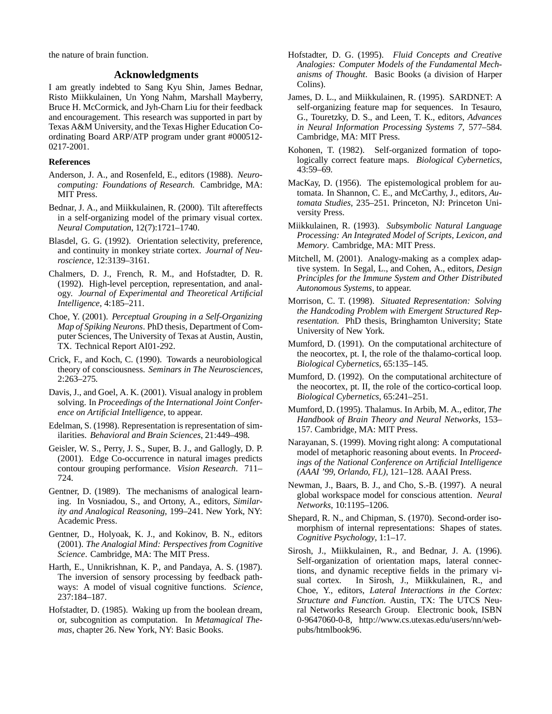the nature of brain function.

### **Acknowledgments**

I am greatly indebted to Sang Kyu Shin, James Bednar, Risto Miikkulainen, Un Yong Nahm, Marshall Mayberry, Bruce H. McCormick, and Jyh-Charn Liu for their feedback and encouragement. This research was supported in part by Texas A&M University, and the Texas Higher Education Coordinating Board ARP/ATP program under grant #000512- 0217-2001.

### **References**

- Anderson, J. A., and Rosenfeld, E., editors (1988). *Neurocomputing: Foundations of Research*. Cambridge, MA: MIT Press.
- Bednar, J. A., and Miikkulainen, R. (2000). Tilt aftereffects in a self-organizing model of the primary visual cortex. *Neural Computation*, 12(7):1721–1740.
- Blasdel, G. G. (1992). Orientation selectivity, preference, and continuity in monkey striate cortex. *Journal of Neuroscience*, 12:3139–3161.
- Chalmers, D. J., French, R. M., and Hofstadter, D. R. (1992). High-level perception, representation, and analogy. *Journal of Experimental and Theoretical Artificial Intelligence*, 4:185–211.
- Choe, Y. (2001). *Perceptual Grouping in a Self-Organizing Map of Spiking Neurons*. PhD thesis, Department of Computer Sciences, The University of Texas at Austin, Austin, TX. Technical Report AI01-292.
- Crick, F., and Koch, C. (1990). Towards a neurobiological theory of consciousness. *Seminars in The Neurosciences*, 2:263–275.
- Davis, J., and Goel, A. K. (2001). Visual analogy in problem solving. In *Proceedings of the International Joint Conference on Artificial Intelligence*, to appear.
- Edelman, S. (1998). Representation is representation of similarities. *Behavioral and Brain Sciences*, 21:449–498.
- Geisler, W. S., Perry, J. S., Super, B. J., and Gallogly, D. P. (2001). Edge Co-occurrence in natural images predicts contour grouping performance. *Vision Research*. 711– 724.
- Gentner, D. (1989). The mechanisms of analogical learning. In Vosniadou, S., and Ortony, A., editors, *Similarity and Analogical Reasoning*, 199–241. New York, NY: Academic Press.
- Gentner, D., Holyoak, K. J., and Kokinov, B. N., editors (2001). *The Analogial Mind: Perspectives from Cognitive Science*. Cambridge, MA: The MIT Press.
- Harth, E., Unnikrishnan, K. P., and Pandaya, A. S. (1987). The inversion of sensory processing by feedback pathways: A model of visual cognitive functions. *Science*, 237:184–187.
- Hofstadter, D. (1985). Waking up from the boolean dream, or, subcognition as computation. In *Metamagical Themas*, chapter 26. New York, NY: Basic Books.
- Hofstadter, D. G. (1995). *Fluid Concepts and Creative Analogies: Computer Models of the Fundamental Mechanisms of Thought*. Basic Books (a division of Harper Colins).
- James, D. L., and Miikkulainen, R. (1995). SARDNET: A self-organizing feature map for sequences. In Tesauro, G., Touretzky, D. S., and Leen, T. K., editors, *Advances in Neural Information Processing Systems 7*, 577–584. Cambridge, MA: MIT Press.
- Kohonen, T. (1982). Self-organized formation of topologically correct feature maps. *Biological Cybernetics*, 43:59–69.
- MacKay, D. (1956). The epistemological problem for automata. In Shannon, C. E., and McCarthy, J., editors, *Automata Studies*, 235–251. Princeton, NJ: Princeton University Press.
- Miikkulainen, R. (1993). *Subsymbolic Natural Language Processing: An Integrated Model of Scripts, Lexicon, and Memory*. Cambridge, MA: MIT Press.
- Mitchell, M. (2001). Analogy-making as a complex adaptive system. In Segal, L., and Cohen, A., editors, *Design Principles for the Immune System and Other Distributed Autonomous Systems*, to appear.
- Morrison, C. T. (1998). *Situated Representation: Solving the Handcoding Problem with Emergent Structured Representation*. PhD thesis, Bringhamton University; State University of New York.
- Mumford, D. (1991). On the computational architecture of the neocortex, pt. I, the role of the thalamo-cortical loop. *Biological Cybernetics*, 65:135–145.
- Mumford, D. (1992). On the computational architecture of the neocortex, pt. II, the role of the cortico-cortical loop. *Biological Cybernetics*, 65:241–251.
- Mumford, D. (1995). Thalamus. In Arbib, M. A., editor, *The Handbook of Brain Theory and Neural Networks*, 153– 157. Cambridge, MA: MIT Press.
- Narayanan, S. (1999). Moving right along: A computational model of metaphoric reasoning about events. In *Proceedings of the National Conference on Artificial Intelligence (AAAI '99, Orlando, FL)*, 121–128. AAAI Press.
- Newman, J., Baars, B. J., and Cho, S.-B. (1997). A neural global workspace model for conscious attention. *Neural Networks*, 10:1195–1206.
- Shepard, R. N., and Chipman, S. (1970). Second-order isomorphism of internal representations: Shapes of states. *Cognitive Psychology*, 1:1–17.
- Sirosh, J., Miikkulainen, R., and Bednar, J. A. (1996). Self-organization of orientation maps, lateral connections, and dynamic receptive fields in the primary visual cortex. In Sirosh, J., Miikkulainen, R., and Choe, Y., editors, *Lateral Interactions in the Cortex: Structure and Function*. Austin, TX: The UTCS Neural Networks Research Group. Electronic book, ISBN 0-9647060-0-8, http://www.cs.utexas.edu/users/nn/webpubs/htmlbook96.